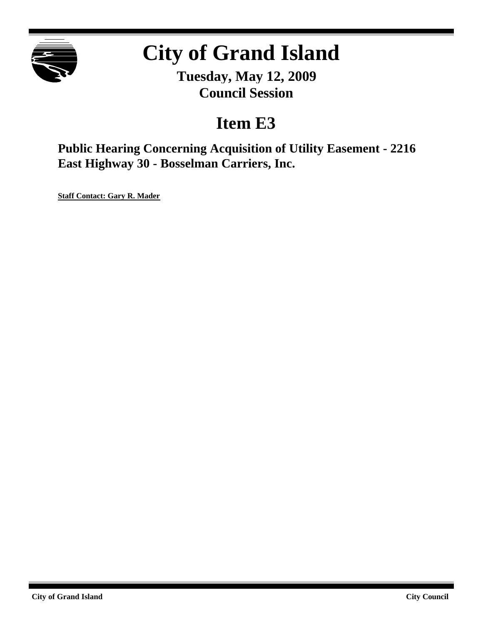

# **City of Grand Island**

**Tuesday, May 12, 2009 Council Session**

# **Item E3**

**Public Hearing Concerning Acquisition of Utility Easement - 2216 East Highway 30 - Bosselman Carriers, Inc.**

**Staff Contact: Gary R. Mader**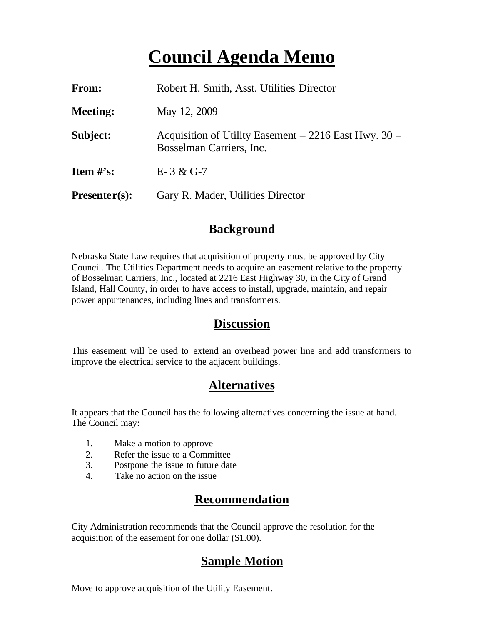# **Council Agenda Memo**

| <b>From:</b>         | Robert H. Smith, Asst. Utilities Director                                            |
|----------------------|--------------------------------------------------------------------------------------|
| <b>Meeting:</b>      | May 12, 2009                                                                         |
| Subject:             | Acquisition of Utility Easement $-2216$ East Hwy. 30 $-$<br>Bosselman Carriers, Inc. |
| <b>Item</b> $\#$ 's: | $E-3 & G-7$                                                                          |
| $Presenter(s):$      | Gary R. Mader, Utilities Director                                                    |

#### **Background**

Nebraska State Law requires that acquisition of property must be approved by City Council. The Utilities Department needs to acquire an easement relative to the property of Bosselman Carriers, Inc., located at 2216 East Highway 30, in the City of Grand Island, Hall County, in order to have access to install, upgrade, maintain, and repair power appurtenances, including lines and transformers.

#### **Discussion**

This easement will be used to extend an overhead power line and add transformers to improve the electrical service to the adjacent buildings.

#### **Alternatives**

It appears that the Council has the following alternatives concerning the issue at hand. The Council may:

- 1. Make a motion to approve
- 2. Refer the issue to a Committee
- 3. Postpone the issue to future date
- 4. Take no action on the issue

### **Recommendation**

City Administration recommends that the Council approve the resolution for the acquisition of the easement for one dollar (\$1.00).

### **Sample Motion**

Move to approve acquisition of the Utility Easement.